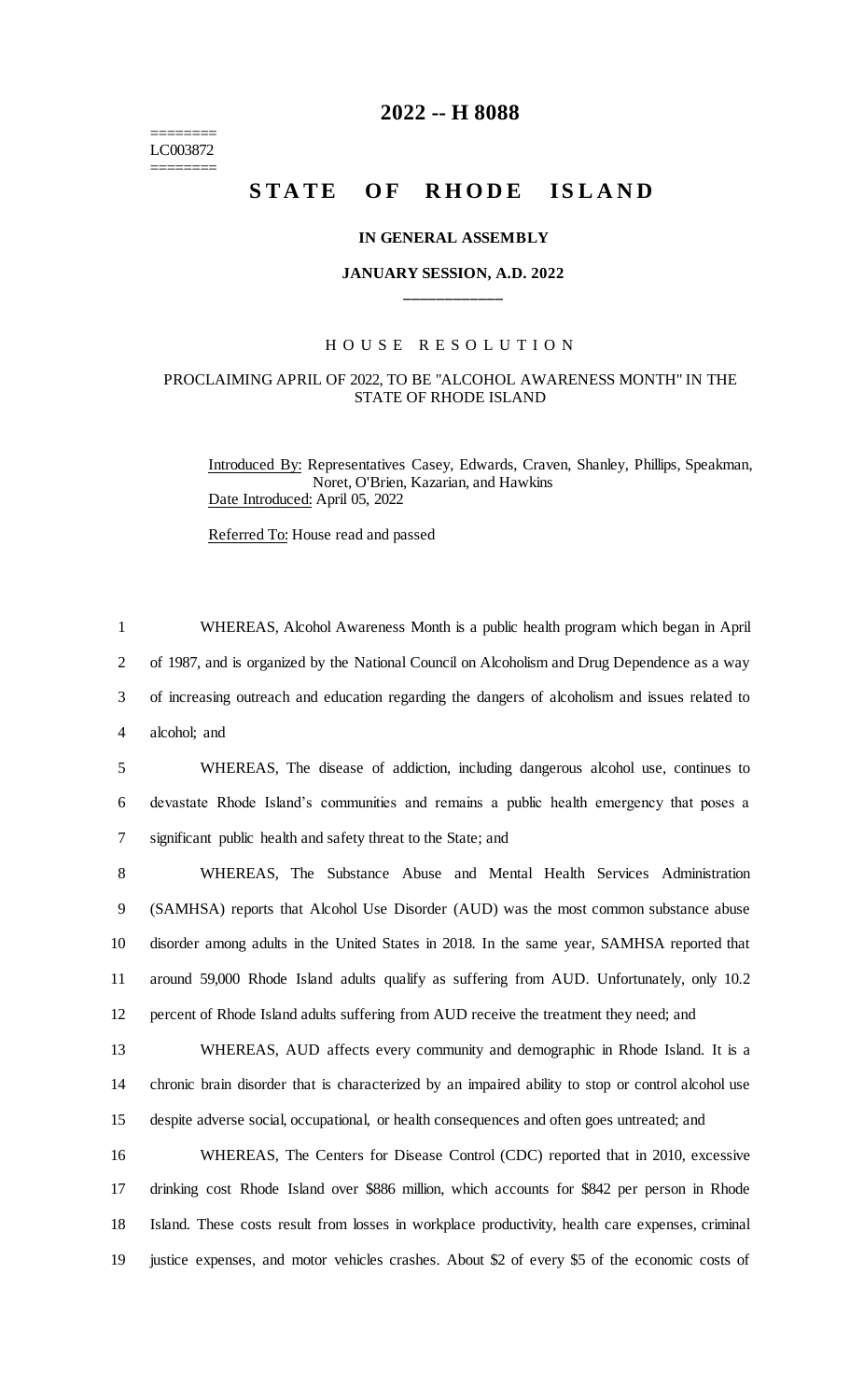======== LC003872 ========

## **2022 -- H 8088**

# **STATE OF RHODE ISLAND**

#### **IN GENERAL ASSEMBLY**

### **JANUARY SESSION, A.D. 2022 \_\_\_\_\_\_\_\_\_\_\_\_**

#### H O U S E R E S O L U T I O N

## PROCLAIMING APRIL OF 2022, TO BE "ALCOHOL AWARENESS MONTH" IN THE STATE OF RHODE ISLAND

Introduced By: Representatives Casey, Edwards, Craven, Shanley, Phillips, Speakman, Noret, O'Brien, Kazarian, and Hawkins Date Introduced: April 05, 2022

Referred To: House read and passed

 WHEREAS, Alcohol Awareness Month is a public health program which began in April of 1987, and is organized by the National Council on Alcoholism and Drug Dependence as a way of increasing outreach and education regarding the dangers of alcoholism and issues related to alcohol; and

5 WHEREAS, The disease of addiction, including dangerous alcohol use, continues to 6 devastate Rhode Island's communities and remains a public health emergency that poses a 7 significant public health and safety threat to the State; and

 WHEREAS, The Substance Abuse and Mental Health Services Administration (SAMHSA) reports that Alcohol Use Disorder (AUD) was the most common substance abuse disorder among adults in the United States in 2018. In the same year, SAMHSA reported that around 59,000 Rhode Island adults qualify as suffering from AUD. Unfortunately, only 10.2 percent of Rhode Island adults suffering from AUD receive the treatment they need; and

13 WHEREAS, AUD affects every community and demographic in Rhode Island. It is a 14 chronic brain disorder that is characterized by an impaired ability to stop or control alcohol use 15 despite adverse social, occupational, or health consequences and often goes untreated; and

 WHEREAS, The Centers for Disease Control (CDC) reported that in 2010, excessive drinking cost Rhode Island over \$886 million, which accounts for \$842 per person in Rhode Island. These costs result from losses in workplace productivity, health care expenses, criminal justice expenses, and motor vehicles crashes. About \$2 of every \$5 of the economic costs of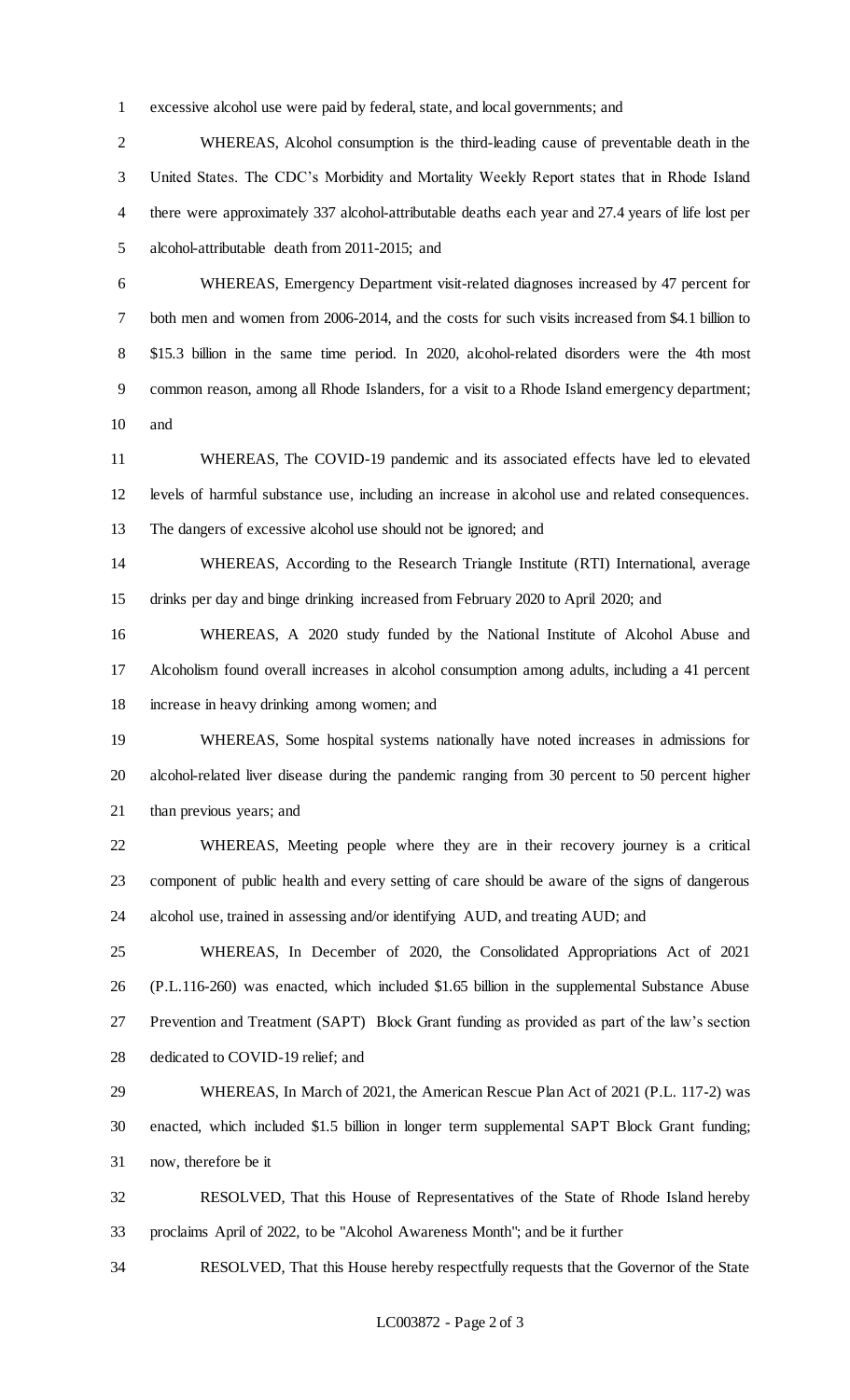excessive alcohol use were paid by federal, state, and local governments; and

 WHEREAS, Alcohol consumption is the third-leading cause of preventable death in the United States. The CDC's Morbidity and Mortality Weekly Report states that in Rhode Island there were approximately 337 alcohol-attributable deaths each year and 27.4 years of life lost per alcohol-attributable death from 2011-2015; and

 WHEREAS, Emergency Department visit-related diagnoses increased by 47 percent for both men and women from 2006-2014, and the costs for such visits increased from \$4.1 billion to \$15.3 billion in the same time period. In 2020, alcohol-related disorders were the 4th most common reason, among all Rhode Islanders, for a visit to a Rhode Island emergency department; and

 WHEREAS, The COVID-19 pandemic and its associated effects have led to elevated levels of harmful substance use, including an increase in alcohol use and related consequences. The dangers of excessive alcohol use should not be ignored; and

 WHEREAS, According to the Research Triangle Institute (RTI) International, average drinks per day and binge drinking increased from February 2020 to April 2020; and

 WHEREAS, A 2020 study funded by the National Institute of Alcohol Abuse and Alcoholism found overall increases in alcohol consumption among adults, including a 41 percent increase in heavy drinking among women; and

 WHEREAS, Some hospital systems nationally have noted increases in admissions for alcohol-related liver disease during the pandemic ranging from 30 percent to 50 percent higher than previous years; and

 WHEREAS, Meeting people where they are in their recovery journey is a critical component of public health and every setting of care should be aware of the signs of dangerous alcohol use, trained in assessing and/or identifying AUD, and treating AUD; and

 WHEREAS, In December of 2020, the Consolidated Appropriations Act of 2021 (P.L.116-260) was enacted, which included \$1.65 billion in the supplemental Substance Abuse Prevention and Treatment (SAPT) Block Grant funding as provided as part of the law's section dedicated to COVID-19 relief; and

 WHEREAS, In March of 2021, the American Rescue Plan Act of 2021 (P.L. 117-2) was enacted, which included \$1.5 billion in longer term supplemental SAPT Block Grant funding; now, therefore be it

 RESOLVED, That this House of Representatives of the State of Rhode Island hereby proclaims April of 2022, to be "Alcohol Awareness Month"; and be it further

RESOLVED, That this House hereby respectfully requests that the Governor of the State